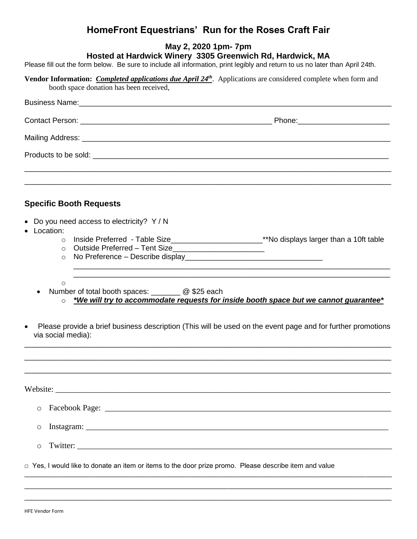## **HomeFront Equestrians' Run for the Roses Craft Fair**

| HomeFront Equestrians′Run for the Roses Craft Fair                                                                                                                                                                                                                                                                                   |  |  |
|--------------------------------------------------------------------------------------------------------------------------------------------------------------------------------------------------------------------------------------------------------------------------------------------------------------------------------------|--|--|
| May 2, 2020 1pm- 7pm<br>Hosted at Hardwick Winery 3305 Greenwich Rd, Hardwick, MA<br>Please fill out the form below. Be sure to include all information, print legibly and return to us no later than April 24th.                                                                                                                    |  |  |
| Vendor Information: <i>Completed applications due April <math>24th</math></i> . Applications are considered complete when form and<br>booth space donation has been received,                                                                                                                                                        |  |  |
|                                                                                                                                                                                                                                                                                                                                      |  |  |
|                                                                                                                                                                                                                                                                                                                                      |  |  |
|                                                                                                                                                                                                                                                                                                                                      |  |  |
|                                                                                                                                                                                                                                                                                                                                      |  |  |
| <b>Specific Booth Requests</b><br>Do you need access to electricity? Y / N                                                                                                                                                                                                                                                           |  |  |
| Location:<br>$\bullet$<br>Inside Preferred - Table Size_________________________**No displays larger than a 10ft table<br>$\circ$<br>Outside Preferred - Tent Size___________________________<br>$\circ$<br>$\circ$                                                                                                                  |  |  |
| <u> 1989 - Johann Stoff, amerikansk politiker (d. 1989)</u><br>$\circ$<br>Number of total booth spaces: <u>2006</u> \$25 each<br>*We will try to accommodate requests for inside booth space but we cannot guarantee*<br>Please provide a brief business description (This will be used on the event page and for further promotions |  |  |
| via social media):                                                                                                                                                                                                                                                                                                                   |  |  |
|                                                                                                                                                                                                                                                                                                                                      |  |  |
| $\circ$                                                                                                                                                                                                                                                                                                                              |  |  |
| O                                                                                                                                                                                                                                                                                                                                    |  |  |
| Twitter:<br>$\circ$                                                                                                                                                                                                                                                                                                                  |  |  |
| □ Yes, I would like to donate an item or items to the door prize promo. Please describe item and value                                                                                                                                                                                                                               |  |  |

\_\_\_\_\_\_\_\_\_\_\_\_\_\_\_\_\_\_\_\_\_\_\_\_\_\_\_\_\_\_\_\_\_\_\_\_\_\_\_\_\_\_\_\_\_\_\_\_\_\_\_\_\_\_\_\_\_\_\_\_\_\_\_\_\_\_\_\_\_\_\_\_\_\_\_\_\_\_\_\_\_\_\_\_\_\_\_\_\_\_\_\_\_\_\_\_\_ \_\_\_\_\_\_\_\_\_\_\_\_\_\_\_\_\_\_\_\_\_\_\_\_\_\_\_\_\_\_\_\_\_\_\_\_\_\_\_\_\_\_\_\_\_\_\_\_\_\_\_\_\_\_\_\_\_\_\_\_\_\_\_\_\_\_\_\_\_\_\_\_\_\_\_\_\_\_\_\_\_\_\_\_\_\_\_\_\_\_\_\_\_\_\_\_\_